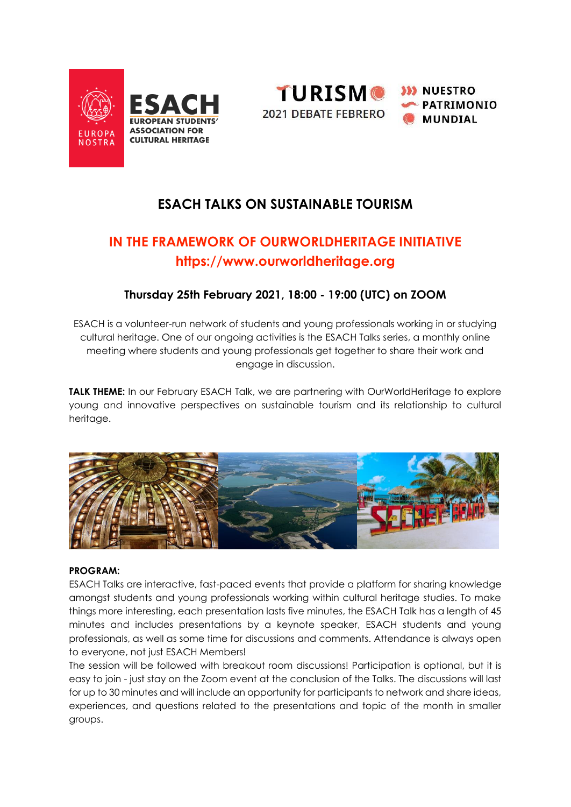



## **ESACH TALKS ON SUSTAINABLE TOURISM**

# **IN THE FRAMEWORK OF OURWORLDHERITAGE INITIATIVE [https://www.ourworldheritage.org](https://www.ourworldheritage.org/)**

### **Thursday 25th February 2021, 18:00 - 19:00 (UTC) on ZOOM**

[ESACH is](https://www.esach.org/) a volunteer-run network of students and young professionals working in or studying cultural heritage. One of our ongoing activities is the [ESACH Talks s](https://www.esach.org/events.html)eries, a monthly online meeting where students and young professionals get together to share their work and engage in discussion.

**TALK THEME:** In our February ESACH Talk, we are partnering with OurWorldHeritage to explore young and innovative perspectives on sustainable tourism and its relationship to cultural heritage.



### **PROGRAM:**

ESACH Talks are interactive, fast-paced events that provide a platform for sharing knowledge amongst students and young professionals working within cultural heritage studies. To make things more interesting, each presentation lasts five minutes, the ESACH Talk has a length of 45 minutes and includes presentations by a keynote speaker, ESACH students and young professionals, as well as some time for discussions and comments. Attendance is always open to everyone, not just ESACH Members!

The session will be followed with breakout room discussions! Participation is optional, but it is easy to join - just stay on the Zoom event at the conclusion of the Talks. The discussions will last for up to 30 minutes and will include an opportunity for participants to network and share ideas, experiences, and questions related to the presentations and topic of the month in smaller groups.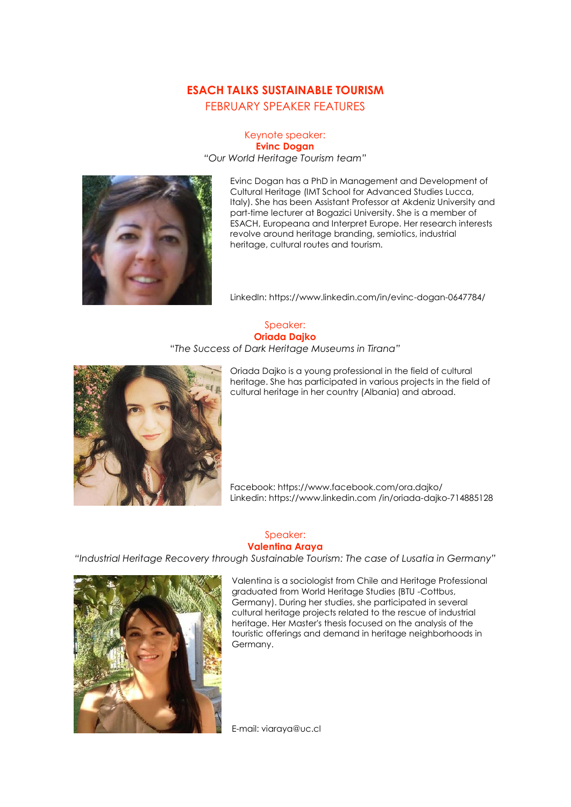## **ESACH TALKS SUSTAINABLE TOURISM** FEBRUARY SPEAKER FEATURES

#### Keynote speaker: **Evinc Dogan** *"Our World Heritage Tourism team"*



Evinc Dogan has a PhD in Management and Development of Cultural Heritage (IMT School for Advanced Studies Lucca, Italy). She has been Assistant Professor at Akdeniz University and part-time lecturer at Bogazici University. She is a member of ESACH, Europeana and Interpret Europe. Her research interests revolve around heritage branding, semiotics, industrial heritage, cultural routes and tourism.

LinkedIn[: https://www.linkedin.com/in/evinc-dogan-0647784/](https://www.linkedin.com/in/evinc-dogan-0647784/) 

### Speaker: **Oriada Dajko**

#### "*The Success of Dark Heritage Museums in Tirana"*



Oriada Dajko is a young professional in the field of cultural heritage. She has participated in various projects in the field of cultural heritage in her country (Albania) and abroad.

Facebook: <https://www.facebook.com/ora.dajko/> Linkedin[: https://www.linkedin.com](https://www.linkedin.com/) [/in/oriada-dajko-714885128](https://www.linkedin.com/)

### Speaker: **Valentina Araya**

*"Industrial Heritage Recovery through Sustainable Tourism: The case of Lusatia in Germany"*



Valentina is a sociologist from Chile and Heritage Professional graduated from World Heritage Studies (BTU -Cottbus, Germany). During her studies, she participated in several cultural heritage projects related to the rescue of industrial heritage. Her Master's thesis focused on the analysis of the touristic offerings and demand in heritage neighborhoods in Germany.

E-mail: viaraya@uc.cl